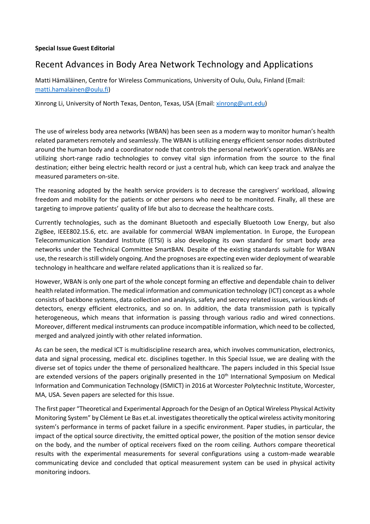## **Special Issue Guest Editorial**

## Recent Advances in Body Area Network Technology and Applications

Matti Hämäläinen, Centre for Wireless Communications, University of Oulu, Oulu, Finland (Email: matti.hamalainen@oulu.fi)

Xinrong Li, University of North Texas, Denton, Texas, USA (Email: xinrong@unt.edu)

The use of wireless body area networks (WBAN) has been seen as a modern way to monitor human's health related parameters remotely and seamlessly. The WBAN is utilizing energy efficient sensor nodes distributed around the human body and a coordinator node that controls the personal network's operation. WBANs are utilizing short-range radio technologies to convey vital sign information from the source to the final destination; either being electric health record or just a central hub, which can keep track and analyze the measured parameters on-site.

The reasoning adopted by the health service providers is to decrease the caregivers' workload, allowing freedom and mobility for the patients or other persons who need to be monitored. Finally, all these are targeting to improve patients' quality of life but also to decrease the healthcare costs.

Currently technologies, such as the dominant Bluetooth and especially Bluetooth Low Energy, but also ZigBee, IEEE802.15.6, etc. are available for commercial WBAN implementation. In Europe, the European Telecommunication Standard Institute (ETSI) is also developing its own standard for smart body area networks under the Technical Committee SmartBAN. Despite of the existing standards suitable for WBAN use, the research is still widely ongoing. And the prognoses are expecting even wider deployment of wearable technology in healthcare and welfare related applications than it is realized so far.

However, WBAN is only one part of the whole concept forming an effective and dependable chain to deliver health related information. The medical information and communication technology (ICT) concept as a whole consists of backbone systems, data collection and analysis, safety and secrecy related issues, various kinds of detectors, energy efficient electronics, and so on. In addition, the data transmission path is typically heterogeneous, which means that information is passing through various radio and wired connections. Moreover, different medical instruments can produce incompatible information, which need to be collected, merged and analyzed jointly with other related information.

As can be seen, the medical ICT is multidiscipline research area, which involves communication, electronics, data and signal processing, medical etc. disciplines together. In this Special Issue, we are dealing with the diverse set of topics under the theme of personalized healthcare. The papers included in this Special Issue are extended versions of the papers originally presented in the 10<sup>th</sup> International Symposium on Medical Information and Communication Technology (ISMICT) in 2016 at Worcester Polytechnic Institute, Worcester, MA, USA. Seven papers are selected for this Issue.

The first paper "Theoretical and Experimental Approach for the Design of an Optical Wireless Physical Activity Monitoring System" by Clément Le Bas et.al. investigates theoretically the optical wireless activity monitoring system's performance in terms of packet failure in a specific environment. Paper studies, in particular, the impact of the optical source directivity, the emitted optical power, the position of the motion sensor device on the body, and the number of optical receivers fixed on the room ceiling. Authors compare theoretical results with the experimental measurements for several configurations using a custom-made wearable communicating device and concluded that optical measurement system can be used in physical activity monitoring indoors.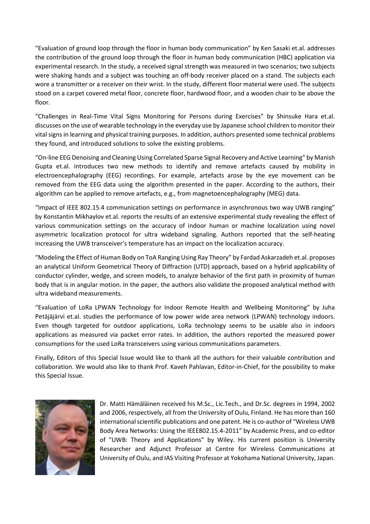"Evaluation of ground loop through the floor in human body communication" by Ken Sasaki et.al. addresses the contribution of the ground loop through the floor in human body communication (HBC) application via experimental research. In the study, a received signal strength was measured in two scenarios; two subjects were shaking hands and a subject was touching an off-body receiver placed on a stand. The subjects each wore a transmitter or a receiver on their wrist. In the study, different floor material were used. The subjects stood on a carpet covered metal floor, concrete floor, hardwood floor, and a wooden chair to be above the floor.

"Challenges in Real-Time Vital Signs Monitoring for Persons during Exercises" by Shinsuke Hara et.al. discusses on the use of wearable technology in the everyday use by Japanese school children to monitor their vital signs in learning and physical training purposes. In addition, authors presented some technical problems they found, and introduced solutions to solve the existing problems.

"On-line EEG Denoising and Cleaning Using Correlated Sparse Signal Recovery and Active Learning" by Manish Gupta et.al. introduces two new methods to identify and remove artefacts caused by mobility in electroencephalography (EEG) recordings. For example, artefacts arose by the eye movement can be removed from the EEG data using the algorithm presented in the paper. According to the authors, their algorithm can be applied to remove artefacts, e.g., from magnetoencephalography (MEG) data.

"Impact of IEEE 802.15.4 communication settings on performance in asynchronous two way UWB ranging" by Konstantin Mikhaylov et.al. reports the results of an extensive experimental study revealing the effect of various communication settings on the accuracy of indoor human or machine localization using novel asymmetric localization protocol for ultra wideband signaling. Authors reported that the self-heating increasing the UWB transceiver's temperature has an impact on the localization accuracy.

"Modeling the Effect of Human Body on ToA Ranging Using Ray Theory" by Fardad Askarzadeh et.al. proposes an analytical Uniform Geometrical Theory of Diffraction (UTD) approach, based on a hybrid applicability of conductor cylinder, wedge, and screen models, to analyze behavior of the first path in proximity of human body that is in angular motion. In the paper, the authors also validate the proposed analytical method with ultra wideband measurements.

"Evaluation of LoRa LPWAN Technology for Indoor Remote Health and Wellbeing Monitoring" by Juha Petäjäjärvi et.al. studies the performance of low power wide area network (LPWAN) technology indoors. Even though targeted for outdoor applications, LoRa technology seems to be usable also in indoors applications as measured via packet error rates. In addition, the authors reported the measured power consumptions for the used LoRa transceivers using various communications parameters.

Finally, Editors of this Special Issue would like to thank all the authors for their valuable contribution and collaboration. We would also like to thank Prof. Kaveh Pahlavan, Editor-in-Chief, for the possibility to make this Special Issue.



Dr. Matti Hämäläinen received his M.Sc., Lic.Tech., and Dr.Sc. degrees in 1994, 2002 and 2006, respectively, all from the University of Oulu, Finland. He has more than 160 international scientific publications and one patent. He is co-author of "Wireless UWB Body Area Networks: Using the IEEE802.15.4-2011" by Academic Press, and co-editor of "UWB: Theory and Applications" by Wiley. His current position is University Researcher and Adjunct Professor at Centre for Wireless Communications at University of Oulu, and IAS Visiting Professor at Yokohama National University, Japan.